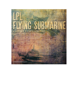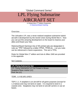# "Global Command Series" LPL Flying Submarine AIRCRAFT SET

A Global War 2<sup>nd</sup> Edition Expansion [© Historical Board Gaming](http://www.historicalboardgaming.com/)

#### **Overview**

The Ushuakov LPL was a never-realized seaplane-submarine hybrid aircraft in development by the Soviet Union during World War II. Now you can put this amazing development on the board to impress your allies and thwart your foes.

Historical Board Gaming's line of 3D printed sets are designated in rules as "TPD" followed by a letter (TPDA, TPDB etc…) so you rules can be referenced in future expansions. This set is TPDL

Rules for Global War-1<sup>st</sup> edition and Axis & Allies 1940 are provided in the appendix

#### Set Contents

## **LPL Flying Submarine Set**

LPL Flying Submarine (x1) 3d Printed in Brown Seaplane Base marker (x1) Rule Set (x1)

## TDPL 1.0 SEAPLANES

TDPJ 1.1: A seaplane is an aircraft for all game purposes (except for 1.2 below) and may not land on water. It is required to land in a coastal zone. Seaplanes may not land on aircraft carriers or use air bases.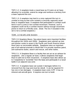TDPJ 1.2: A seaplane treats a naval base as if it were an air base, allowing it to scramble, extend its range and reinforce a territory from a base captured this turn.

TDPJ 1.3: A seaplane may land in a zone captured this turn in combat so long as that zone contains a (recently captured) naval base or seaplane base. A seaplane that participated in combat could land in such a zone in non-combat movement. However; such a seaplane could not fly a combat mission without enough movement points to return to a friendly zone. (Note: The Do-X included in this set is not a combat seaplane.)

## TDPL 2.0 SEAPLANE BASES

TDPJ 2.0 *Seaplane Bases:* Sea plane bases were important facilities throughout the 1920s and 1930s. Seaplanes were opened up new and quicker routes to areas in the Pacific and South America where there were no serviceable airfields. Seaplanes were an important part of all national arsenals in World War II to provide maritime patrol, anti-submarine duties, search and rescue, and other duties.

TPDJ 2.1*:* A Seaplane Base is a facility that can act as an airbase for seaplanes. Like a regular air base, it allows seaplanes that begin there to add one to their movement. A seaplane base also allows up to 3 seaplanes to "scramble" from the base and participate in a naval battle in an adjacent sea zone.

TDPJ 2.2 A seaplane base can sustain 3 damages before it is removed from the map and must be rebuilt. It can be repaired if it has one or two damages. A seaplane base costs 3 IPP. It has no inherent anti-aircraft guns. It requires one turn to build.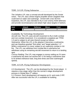## TDPL 3.0 LPL Flying Submarine

The Ushakov LPL was a concept aircraft developed by the Soviet Union. The LPL was a three-engine propeller driven seaplane that could land on water and submerge. Armed with a two 457mm torpedoes, the LPL was intended to fly in over enemy ASW defenses and provide reconnaissance and attack high value targets in harbors.

| <b>Unit</b> | Attack Defense Move | Cost |
|-------------|---------------------|------|
| <b>UPL</b>  |                     |      |

*Availability:* By Technology Development

*Aircraft Use:* The LPL uses aircraft movement to fly in both combat and non-combat movement. It is considered a seaplane per TPDK 1.0 and is subject to all rules thereof except as follows:

*Submarine:* When the LPL is the attacker it becomes a submarine, and can therefore granted "first strike" and "target selection 1-2". While a submarine it is never subject to air superiorly combat or AA fire. The LPL can withdraw from combat like a submarine but withdraws using its remaining aircraft movement to return to a landing

spot.

*Convoy Raiding:* The LPL may engage in convoy raiding as if it were a submarine but does not receive the +2 for being a submarine (due to its limited ordinance load, long dive times and slow submerged speed).

#### TDPL 4.0 LPL Flying Submarine Development

4.0 *Development:* The LPL can be developed by the Soviet player. It requires a two-stage rather than the normal 4-stage development process in Global War-2<sup>nd</sup> edition.

4.1 *Process:* Each development roll requires an 8+ and costs 2 IPP. After two successful rolls the LPL is available for building.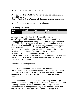## Appendix a: Global war  $1<sup>st</sup>$  edition changes

*Development:* The LPL Flying Submarine requires a development total of 25 points.

*Convoy Raiding:* The LPL does 1-3 damages when convoy raiding.

## Appendix B: AXIS & ALLIES 1940 changes

#### *LPL Flying Submarine*

| <b>Unit</b> | Attack Defense Move | <b>Cost</b> |  |
|-------------|---------------------|-------------|--|
| <b>UPL</b>  |                     |             |  |

*Availability:* By Technology Development (see below) *Aircraft Use:* The LPL uses aircraft movement to fly in combat movement and non-combat movement. It is considered a seaplane per TPDJ 1.0 and is subject to all rules thereof except as follows: *Submarine:* When the LPL is the attacker it becomes a submarine, and can therefore granted "first strike" and "target selection "1". When it is a submarine It is never subject to AA fire. The LPL can withdraw from combat (i.e."submerge") like a submarine but withdraws using its remaining aircraft movement *Convoy Raiding:* The LPL causes 1-3 damages when convoy raiding. *Development:* The Soviet player may select the LPL in place of another successful development roll.

## Appendix C: Strategy Notes

The LPL is in your hands – now what? The real question for the Soviet Union is why in the world would you want an LPL submarine for 8 IPPs (that's the Global war-2<sup>nd</sup> edition term for IPC) when you could buy land units to fend off the Germans. Here are some reasons:

First, you will notice that the LPL has some pretty decent target selection capacity – making it a useful weapon to reach out and strike anything German – but also Japanese. An LPL flying out of Vladivostok could be mighty pestering to the Japanese given that they would have to have something up there to protect their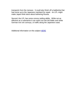transports from the menace. It could also finish off a battleship that had some up to the Japanese mainland for repair. An LPL might make Japan think twice about bothering Russia.

Second, the LPL has some convoy raiding ability. While not as effective as a submarine it can reach out into the Baltic and strike German iron ore convoys, or traffic along the Japanese coast.

Additional information on this subject [HERE](https://en.wikipedia.org/wiki/Flying_submarine)